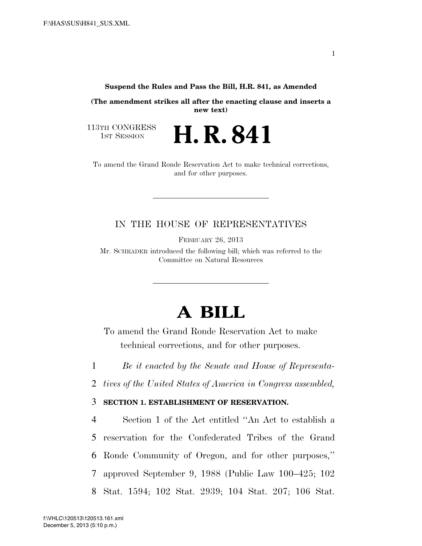## **Suspend the Rules and Pass the Bill, H.R. 841, as Amended**

**(The amendment strikes all after the enacting clause and inserts a new text)** 

113TH CONGRESS<br>1st Session

**H. R. 841** 

To amend the Grand Ronde Reservation Act to make technical corrections, and for other purposes.

## IN THE HOUSE OF REPRESENTATIVES

FEBRUARY 26, 2013

Mr. SCHRADER introduced the following bill; which was referred to the Committee on Natural Resources

## **A BILL**

To amend the Grand Ronde Reservation Act to make technical corrections, and for other purposes.

1 *Be it enacted by the Senate and House of Representa-*

2 *tives of the United States of America in Congress assembled,* 

3 **SECTION 1. ESTABLISHMENT OF RESERVATION.** 

 Section 1 of the Act entitled ''An Act to establish a reservation for the Confederated Tribes of the Grand Ronde Community of Oregon, and for other purposes,'' approved September 9, 1988 (Public Law 100–425; 102 Stat. 1594; 102 Stat. 2939; 104 Stat. 207; 106 Stat.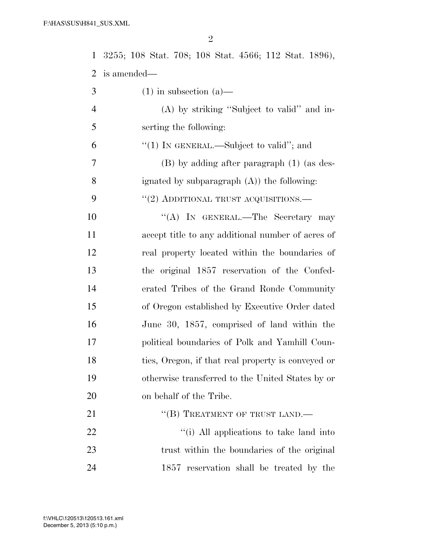$\overline{2}$ 

| $\mathbf{1}$   | 3255; 108 Stat. 708; 108 Stat. 4566; 112 Stat. 1896), |  |  |  |  |  |
|----------------|-------------------------------------------------------|--|--|--|--|--|
| $\overline{2}$ | is amended—                                           |  |  |  |  |  |
| 3              | $(1)$ in subsection $(a)$ —                           |  |  |  |  |  |
| $\overline{4}$ | (A) by striking "Subject to valid" and in-            |  |  |  |  |  |
| 5              | serting the following:                                |  |  |  |  |  |
| 6              | "(1) IN GENERAL.—Subject to valid"; and               |  |  |  |  |  |
| 7              | $(B)$ by adding after paragraph $(1)$ (as des-        |  |  |  |  |  |
| 8              | ignated by subparagraph $(A)$ ) the following:        |  |  |  |  |  |
| 9              | $``(2)$ ADDITIONAL TRUST ACQUISITIONS.—               |  |  |  |  |  |
| 10             | "(A) IN GENERAL.—The Secretary may                    |  |  |  |  |  |
| 11             | accept title to any additional number of acres of     |  |  |  |  |  |
| 12             | real property located within the boundaries of        |  |  |  |  |  |
| 13             | the original 1857 reservation of the Confed-          |  |  |  |  |  |
| 14             | erated Tribes of the Grand Ronde Community            |  |  |  |  |  |
| 15             | of Oregon established by Executive Order dated        |  |  |  |  |  |
| 16             | June 30, 1857, comprised of land within the           |  |  |  |  |  |
| 17             | political boundaries of Polk and Yamhill Coun-        |  |  |  |  |  |
| 18             | ties, Oregon, if that real property is conveyed or    |  |  |  |  |  |
| 19             | otherwise transferred to the United States by or      |  |  |  |  |  |
| 20             | on behalf of the Tribe.                               |  |  |  |  |  |
| 21             | "(B) TREATMENT OF TRUST LAND.-                        |  |  |  |  |  |
| 22             | "(i) All applications to take land into               |  |  |  |  |  |

 trust within the boundaries of the original 1857 reservation shall be treated by the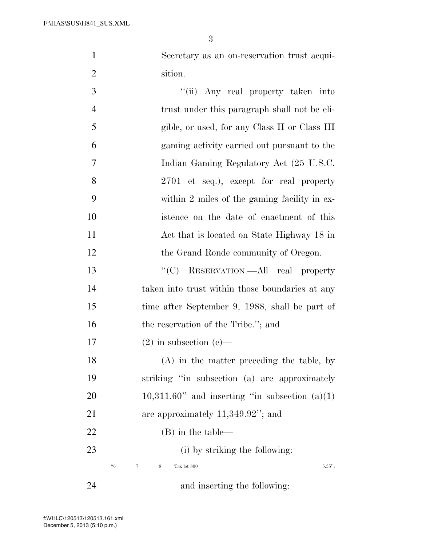3

1 Secretary as an on-reservation trust acqui-2 sition.

3 "(ii) Any real property taken into trust under this paragraph shall not be eli- gible, or used, for any Class II or Class III gaming activity carried out pursuant to the Indian Gaming Regulatory Act (25 U.S.C. 2701 et seq.), except for real property within 2 miles of the gaming facility in ex- istence on the date of enactment of this Act that is located on State Highway 18 in 12 the Grand Ronde community of Oregon.  $\cdot$  (C) RESERVATION.—All real property 14 taken into trust within those boundaries at any time after September 9, 1988, shall be part of 16 the reservation of the Tribe."; and 17 (2) in subsection (c)— (A) in the matter preceding the table, by striking ''in subsection (a) are approximately 20 10,311.60" and inserting "in subsection  $(a)(1)$ 21 are approximately 11,349.92"; and

23 (i) by striking the following:  $^{46}$  7 8 Tax lot 800 5.55'';

22 (B) in the table—

24 and inserting the following: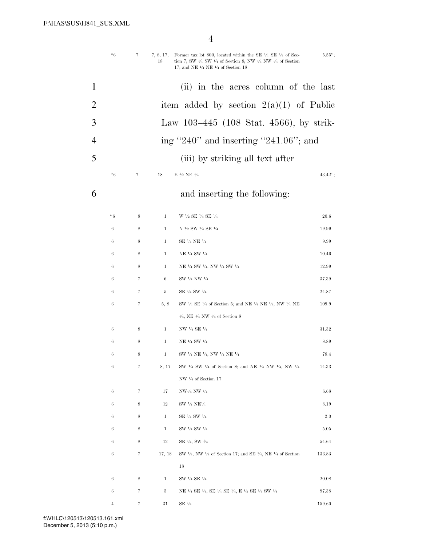4

|                | ``6                                     | 7 | 7, 8, 17,<br>18 | Former tax lot 800, located within the SE $\frac{1}{4}$ SE $\frac{1}{4}$ of Sec-<br>tion 7; SW $\frac{1}{4}$ SW $\frac{1}{4}$ of Section 8; NW $\frac{1}{4}$ NW $\frac{1}{4}$ of Section<br>17; and NE $\frac{1}{4}$ NE $\frac{1}{4}$ of Section 18 | 5.55";     |  |  |  |
|----------------|-----------------------------------------|---|-----------------|-----------------------------------------------------------------------------------------------------------------------------------------------------------------------------------------------------------------------------------------------------|------------|--|--|--|
| $\mathbf{1}$   |                                         |   |                 | (ii) in the acres column of the last                                                                                                                                                                                                                |            |  |  |  |
| $\overline{2}$ |                                         |   |                 | item added by section $2(a)(1)$ of Public                                                                                                                                                                                                           |            |  |  |  |
| 3              | Law 103–445 (108 Stat. 4566), by strik- |   |                 |                                                                                                                                                                                                                                                     |            |  |  |  |
|                |                                         |   |                 |                                                                                                                                                                                                                                                     |            |  |  |  |
| $\overline{4}$ | ing "240" and inserting "241.06"; and   |   |                 |                                                                                                                                                                                                                                                     |            |  |  |  |
| 5              | (iii) by striking all text after        |   |                 |                                                                                                                                                                                                                                                     |            |  |  |  |
|                | ``6                                     | 7 | 18              | $E\frac{1}{2}NE\frac{1}{4}$                                                                                                                                                                                                                         | $43.42$ "; |  |  |  |
| 6              | and inserting the following:            |   |                 |                                                                                                                                                                                                                                                     |            |  |  |  |
|                | ``6                                     | 8 | $\mathbf{1}$    | W 1/2 SE 1/4 SE 1/4                                                                                                                                                                                                                                 | 20.6       |  |  |  |
|                | 6                                       | 8 | $\mathbf{1}$    | N ½ SW ¼ SE ¼                                                                                                                                                                                                                                       | 19.99      |  |  |  |
|                | 6                                       | 8 | $\mathbf{1}$    | SE 1/4 NE 1/4                                                                                                                                                                                                                                       | 9.99       |  |  |  |
|                | 6                                       | 8 | $\mathbf{1}$    | NE 1/4 SW 1/4                                                                                                                                                                                                                                       | 10.46      |  |  |  |
|                | 6                                       | 8 | $\mathbf{1}$    | NE 1/4 SW 1/4, NW 1/4 SW 1/4                                                                                                                                                                                                                        | 12.99      |  |  |  |
|                | 6                                       | 7 | 6               | SW 1/4 NW 1/4                                                                                                                                                                                                                                       | 37.39      |  |  |  |
|                | 6                                       | 7 | 5               | SE 1/4 SW 1/4                                                                                                                                                                                                                                       | 24.87      |  |  |  |
|                | 6                                       | 7 | 5, 8            | SW $\frac{1}{4}$ SE $\frac{1}{4}$ of Section 5; and NE $\frac{1}{4}$ NE $\frac{1}{4}$ , NW $\frac{1}{4}$ NE                                                                                                                                         | 109.9      |  |  |  |
|                |                                         |   |                 | $\frac{1}{4}$ , NE $\frac{1}{4}$ NW $\frac{1}{4}$ of Section 8                                                                                                                                                                                      |            |  |  |  |
|                | 6                                       | 8 | $\mathbf{1}$    | NW $\frac{1}{4}$ SE $\frac{1}{4}$                                                                                                                                                                                                                   | 31.32      |  |  |  |
|                | 6                                       | 8 | $\mathbf{1}$    | NE 1/4 SW 1/4                                                                                                                                                                                                                                       | 8.89       |  |  |  |
|                | 6                                       | 8 | $\mathbf{1}$    | SW 1/4 NE 1/4, NW 1/4 NE 1/4                                                                                                                                                                                                                        | 78.4       |  |  |  |
|                | 6                                       | 7 | 8, 17           | SW $\frac{1}{4}$ SW $\frac{1}{4}$ of Section 8; and NE $\frac{1}{4}$ NW $\frac{1}{4}$ , NW $\frac{1}{4}$                                                                                                                                            | 14.33      |  |  |  |
|                |                                         |   |                 | NW $\frac{1}{4}$ of Section 17                                                                                                                                                                                                                      |            |  |  |  |
|                | 6                                       | 7 | 17              | NW1/4 NW 1/4                                                                                                                                                                                                                                        | 6.68       |  |  |  |
|                | 6                                       | 8 | 12              | SW 1/4 NE1/4                                                                                                                                                                                                                                        | 8.19       |  |  |  |
|                | 6                                       | 8 | $\mathbf{1}$    | SE 1/4 SW 1/4                                                                                                                                                                                                                                       | 2.0        |  |  |  |
|                | 6                                       | 8 | $\mathbf{1}$    | SW 1/4 SW 1/4                                                                                                                                                                                                                                       | 5.05       |  |  |  |
|                | 6                                       | 8 | 12              | SE 1/4, SW 1/4                                                                                                                                                                                                                                      | 54.64      |  |  |  |
|                | $\,6$                                   | 7 | 17, 18          | SW $\frac{1}{4}$ , NW $\frac{1}{4}$ of Section 17; and SE $\frac{1}{4}$ , NE $\frac{1}{4}$ of Section                                                                                                                                               | 136.83     |  |  |  |
|                |                                         |   |                 | 18                                                                                                                                                                                                                                                  |            |  |  |  |
|                | 6                                       | 8 | $\mathbf{1}$    | SW 1/4 SE 1/4                                                                                                                                                                                                                                       | 20.08      |  |  |  |
|                | 6                                       | 7 | 5               | NE 1/4 SE 1/4, SE 1/4 SE 1/4, E 1/2 SE 1/4 SW 1/4                                                                                                                                                                                                   | 97.38      |  |  |  |
|                | $\overline{4}$                          | 7 | 31              | $SE\frac{1}{4}$                                                                                                                                                                                                                                     | 159.60     |  |  |  |